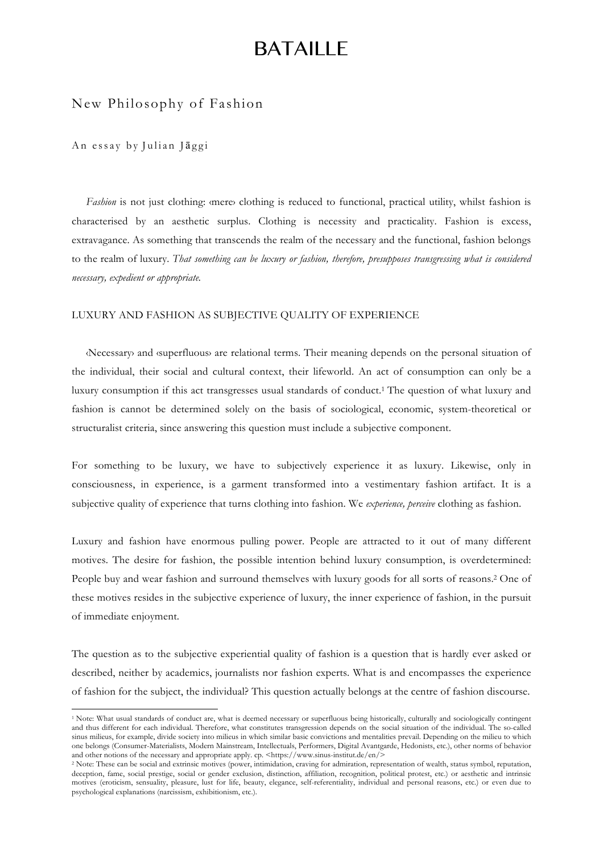# BATAILLE

## New Philosophy of Fashion

## An essay by Julian Jāggi

 

*Fashion* is not just clothing: «mere» clothing is reduced to functional, practical utility, whilst fashion is characterised by an aesthetic surplus. Clothing is necessity and practicality. Fashion is excess, extravagance. As something that transcends the realm of the necessary and the functional, fashion belongs to the realm of luxury. *That something can be luxury or fashion, therefore, presupposes transgressing what is considered necessary, expedient or appropriate.* 

## LUXURY AND FASHION AS SUBJECTIVE QUALITY OF EXPERIENCE

‹Necessary› and ‹superfluous› are relational terms. Their meaning depends on the personal situation of the individual, their social and cultural context, their lifeworld. An act of consumption can only be a luxury consumption if this act transgresses usual standards of conduct.1 The question of what luxury and fashion is cannot be determined solely on the basis of sociological, economic, system-theoretical or structuralist criteria, since answering this question must include a subjective component.

For something to be luxury, we have to subjectively experience it as luxury. Likewise, only in consciousness, in experience, is a garment transformed into a vestimentary fashion artifact. It is a subjective quality of experience that turns clothing into fashion. We *experience, perceive* clothing as fashion.

Luxury and fashion have enormous pulling power. People are attracted to it out of many different motives. The desire for fashion, the possible intention behind luxury consumption, is overdetermined: People buy and wear fashion and surround themselves with luxury goods for all sorts of reasons.2 One of these motives resides in the subjective experience of luxury, the inner experience of fashion, in the pursuit of immediate enjoyment.

The question as to the subjective experiential quality of fashion is a question that is hardly ever asked or described, neither by academics, journalists nor fashion experts. What is and encompasses the experience of fashion for the subject, the individual? This question actually belongs at the centre of fashion discourse.

<sup>&</sup>lt;sup>1</sup> Note: What usual standards of conduct are, what is deemed necessary or superfluous being historically, culturally and sociologically contingent and thus different for each individual. Therefore, what constitutes transgression depends on the social situation of the individual. The so-called sinus milieus, for example, divide society into milieus in which similar basic convictions and mentalities prevail. Depending on the milieu to which one belongs (Consumer-Materialists, Modern Mainstream, Intellectuals, Performers, Digital Avantgarde, Hedonists, etc.), other norms of behavior and other notions of the necessary and appropriate apply. cp. <https://www.sinus-institut.de/en/>

<sup>&</sup>lt;sup>2</sup> Note: These can be social and extrinsic motives (power, intimidation, craving for admiration, representation of wealth, status symbol, reputation, deception, fame, social prestige, social or gender exclusion, distinction, affiliation, recognition, political protest, etc.) or aesthetic and intrinsic motives (eroticism, sensuality, pleasure, lust for life, beauty, elegance, self-referentiality, individual and personal reasons, etc.) or even due to psychological explanations (narcissism, exhibitionism, etc.).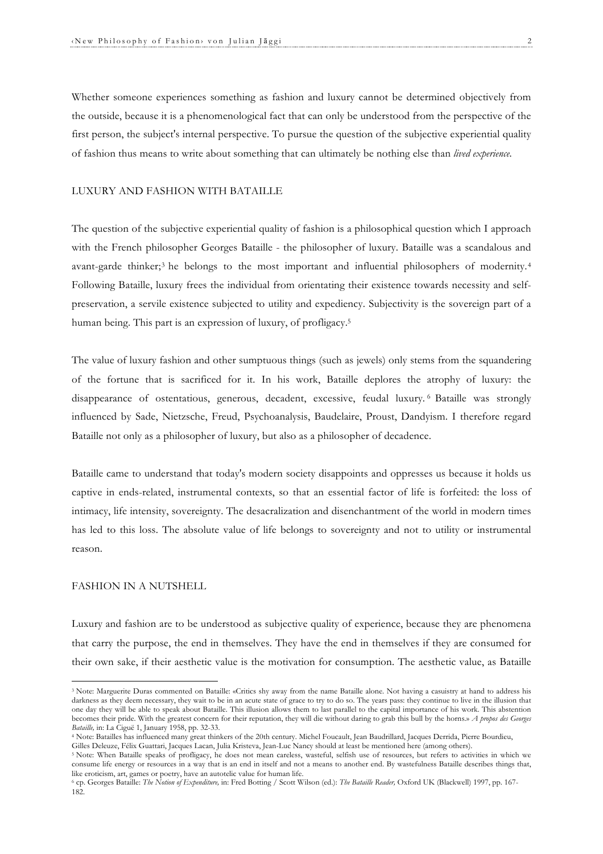Whether someone experiences something as fashion and luxury cannot be determined objectively from the outside, because it is a phenomenological fact that can only be understood from the perspective of the first person, the subject's internal perspective. To pursue the question of the subjective experiential quality of fashion thus means to write about something that can ultimately be nothing else than *lived experience.*

#### LUXURY AND FASHION WITH BATAILLE

The question of the subjective experiential quality of fashion is a philosophical question which I approach with the French philosopher Georges Bataille - the philosopher of luxury. Bataille was a scandalous and avant-garde thinker;<sup>3</sup> he belongs to the most important and influential philosophers of modernity.<sup>4</sup> Following Bataille, luxury frees the individual from orientating their existence towards necessity and selfpreservation, a servile existence subjected to utility and expediency. Subjectivity is the sovereign part of a human being. This part is an expression of luxury, of profligacy. 5

The value of luxury fashion and other sumptuous things (such as jewels) only stems from the squandering of the fortune that is sacrificed for it. In his work, Bataille deplores the atrophy of luxury: the disappearance of ostentatious, generous, decadent, excessive, feudal luxury. <sup>6</sup> Bataille was strongly influenced by Sade, Nietzsche, Freud, Psychoanalysis, Baudelaire, Proust, Dandyism. I therefore regard Bataille not only as a philosopher of luxury, but also as a philosopher of decadence.

Bataille came to understand that today's modern society disappoints and oppresses us because it holds us captive in ends-related, instrumental contexts, so that an essential factor of life is forfeited: the loss of intimacy, life intensity, sovereignty. The desacralization and disenchantment of the world in modern times has led to this loss. The absolute value of life belongs to sovereignty and not to utility or instrumental reason.

#### FASHION IN A NUTSHELL

 

Luxury and fashion are to be understood as subjective quality of experience, because they are phenomena that carry the purpose, the end in themselves. They have the end in themselves if they are consumed for their own sake, if their aesthetic value is the motivation for consumption. The aesthetic value, as Bataille

<sup>&</sup>lt;sup>3</sup> Note: Marguerite Duras commented on Bataille: «Critics shy away from the name Bataille alone. Not having a casuistry at hand to address his darkness as they deem necessary, they wait to be in an acute state of grace to try to do so. The years pass: they continue to live in the illusion that one day they will be able to speak about Bataille. This illusion allows them to last parallel to the capital importance of his work. This abstention becomes their pride. With the greatest concern for their reputation, they will die without daring to grab this bull by the horns.» *A propos des Georges Bataille,* in: La Ciguë 1, January 1958, pp. 32-33.

<sup>4</sup> Note: Batailles has influenced many great thinkers of the 20th century. Michel Foucault, Jean Baudrillard, Jacques Derrida, Pierre Bourdieu, Gilles Deleuze, Félix Guattari, Jacques Lacan, Julia Kristeva, Jean-Luc Nancy should at least be mentioned here (among others).

<sup>&</sup>lt;sup>5</sup> Note: When Bataille speaks of profligacy, he does not mean careless, wasteful, selfish use of resources, but refers to activities in which we consume life energy or resources in a way that is an end in itself and not a means to another end. By wastefulness Bataille describes things that, like eroticism, art, games or poetry, have an autotelic value for human life.

<sup>6</sup> cp. Georges Bataille: *The Notion of Expenditure,* in: Fred Botting / Scott Wilson (ed.): *The Bataille Reader,* Oxford UK (Blackwell) 1997, pp. 167- 182.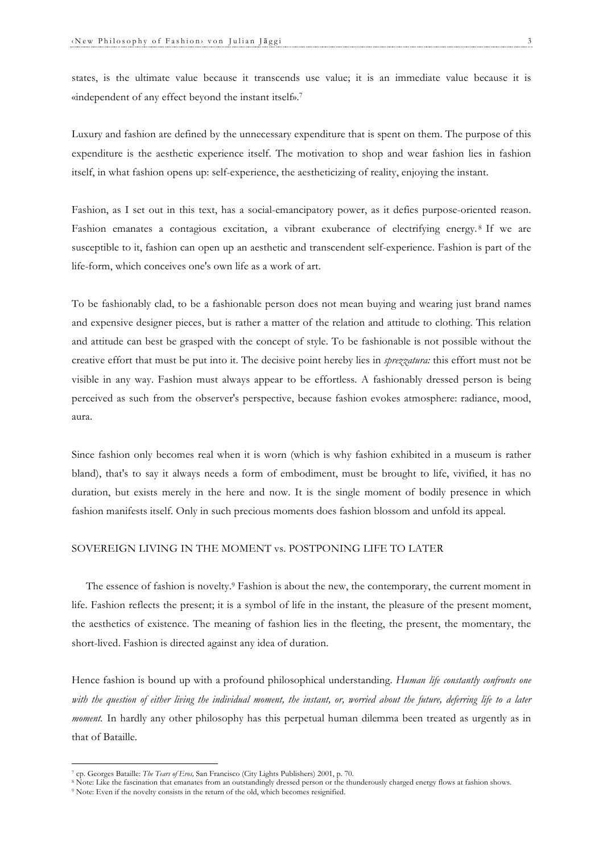states, is the ultimate value because it transcends use value; it is an immediate value because it is «independent of any effect beyond the instant itself». 7

Luxury and fashion are defined by the unnecessary expenditure that is spent on them. The purpose of this expenditure is the aesthetic experience itself. The motivation to shop and wear fashion lies in fashion itself, in what fashion opens up: self-experience, the aestheticizing of reality, enjoying the instant.

Fashion, as I set out in this text, has a social-emancipatory power, as it defies purpose-oriented reason. Fashion emanates a contagious excitation, a vibrant exuberance of electrifying energy. <sup>8</sup> If we are susceptible to it, fashion can open up an aesthetic and transcendent self-experience. Fashion is part of the life-form, which conceives one's own life as a work of art.

To be fashionably clad, to be a fashionable person does not mean buying and wearing just brand names and expensive designer pieces, but is rather a matter of the relation and attitude to clothing. This relation and attitude can best be grasped with the concept of style. To be fashionable is not possible without the creative effort that must be put into it. The decisive point hereby lies in *sprezzatura:* this effort must not be visible in any way. Fashion must always appear to be effortless. A fashionably dressed person is being perceived as such from the observer's perspective, because fashion evokes atmosphere: radiance, mood, aura.

Since fashion only becomes real when it is worn (which is why fashion exhibited in a museum is rather bland), that's to say it always needs a form of embodiment, must be brought to life, vivified, it has no duration, but exists merely in the here and now. It is the single moment of bodily presence in which fashion manifests itself. Only in such precious moments does fashion blossom and unfold its appeal.

#### SOVEREIGN LIVING IN THE MOMENT vs. POSTPONING LIFE TO LATER

The essence of fashion is novelty.9 Fashion is about the new, the contemporary, the current moment in life. Fashion reflects the present; it is a symbol of life in the instant, the pleasure of the present moment, the aesthetics of existence. The meaning of fashion lies in the fleeting, the present, the momentary, the short-lived. Fashion is directed against any idea of duration.

Hence fashion is bound up with a profound philosophical understanding. *Human life constantly confronts one with the question of either living the individual moment, the instant, or, worried about the future, deferring life to a later moment*. In hardly any other philosophy has this perpetual human dilemma been treated as urgently as in that of Bataille.

<sup>7</sup> cp. Georges Bataille: *The Tears of Eros,* San Francisco (City Lights Publishers) 2001, p. 70.

<sup>&</sup>lt;sup>8</sup> Note: Like the fascination that emanates from an outstandingly dressed person or the thunderously charged energy flows at fashion shows.

<sup>9</sup> Note: Even if the novelty consists in the return of the old, which becomes resignified.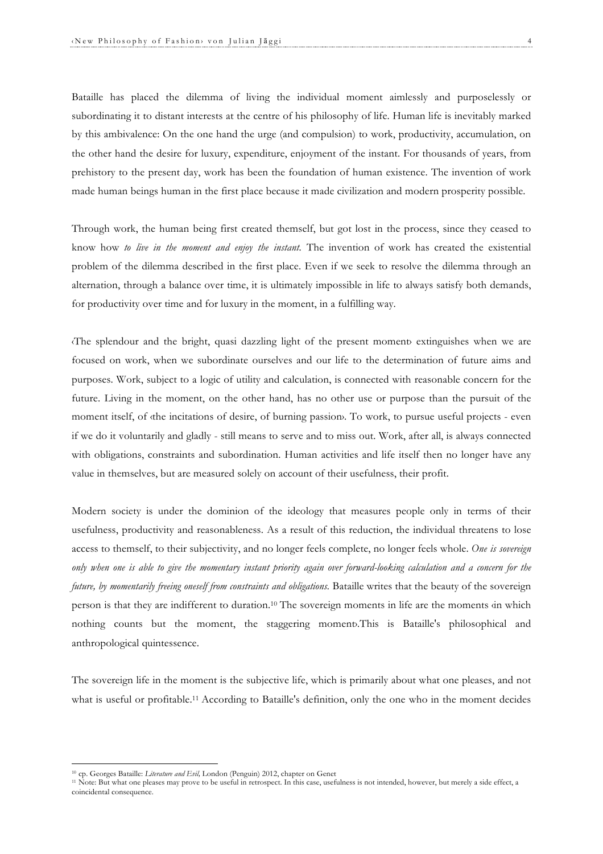Bataille has placed the dilemma of living the individual moment aimlessly and purposelessly or subordinating it to distant interests at the centre of his philosophy of life. Human life is inevitably marked by this ambivalence: On the one hand the urge (and compulsion) to work, productivity, accumulation, on the other hand the desire for luxury, expenditure, enjoyment of the instant. For thousands of years, from prehistory to the present day, work has been the foundation of human existence. The invention of work made human beings human in the first place because it made civilization and modern prosperity possible.

Through work, the human being first created themself, but got lost in the process, since they ceased to know how *to live in the moment and enjoy the instant.* The invention of work has created the existential problem of the dilemma described in the first place. Even if we seek to resolve the dilemma through an alternation, through a balance over time, it is ultimately impossible in life to always satisfy both demands, for productivity over time and for luxury in the moment, in a fulfilling way.

The splendour and the bright, quasi dazzling light of the present moment extinguishes when we are focused on work, when we subordinate ourselves and our life to the determination of future aims and purposes. Work, subject to a logic of utility and calculation, is connected with reasonable concern for the future. Living in the moment, on the other hand, has no other use or purpose than the pursuit of the moment itself, of the incitations of desire, of burning passion. To work, to pursue useful projects - even if we do it voluntarily and gladly - still means to serve and to miss out. Work, after all, is always connected with obligations, constraints and subordination. Human activities and life itself then no longer have any value in themselves, but are measured solely on account of their usefulness, their profit.

Modern society is under the dominion of the ideology that measures people only in terms of their usefulness, productivity and reasonableness. As a result of this reduction, the individual threatens to lose access to themself, to their subjectivity, and no longer feels complete, no longer feels whole. *One is sovereign only when one is able to give the momentary instant priority again over forward-looking calculation and a concern for the future, by momentarily freeing oneself from constraints and obligations.* Bataille writes that the beauty of the sovereign person is that they are indifferent to duration.<sup>10</sup> The sovereign moments in life are the moments in which nothing counts but the moment, the staggering moment›.This is Bataille's philosophical and anthropological quintessence.

The sovereign life in the moment is the subjective life, which is primarily about what one pleases, and not what is useful or profitable.<sup>11</sup> According to Bataille's definition, only the one who in the moment decides

<sup>10</sup> cp. Georges Bataille: *Literature and Evil,* London (Penguin) 2012, chapter on Genet

<sup>11</sup> Note: But what one pleases may prove to be useful in retrospect. In this case, usefulness is not intended, however, but merely a side effect, a coincidental consequence.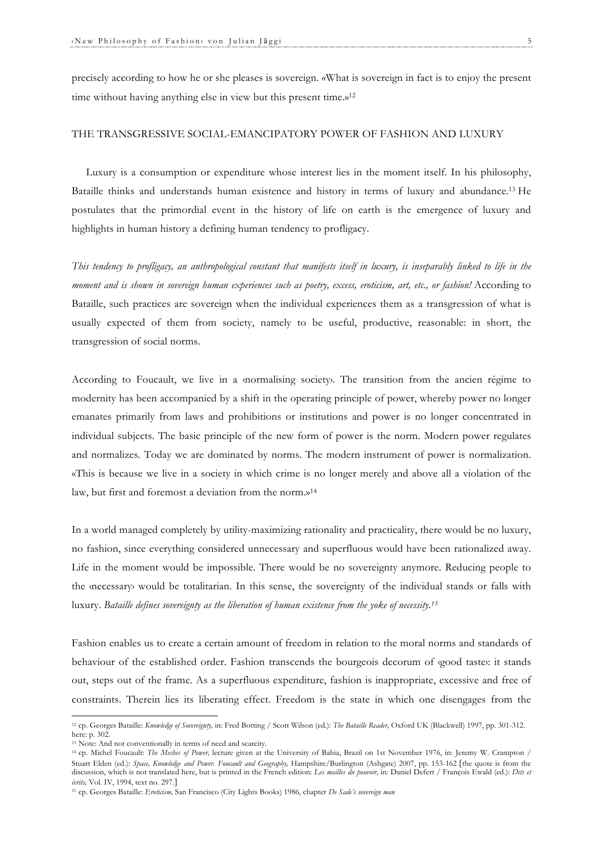precisely according to how he or she pleases is sovereign. «What is sovereign in fact is to enjoy the present time without having anything else in view but this present time.»<sup>12</sup>

## THE TRANSGRESSIVE SOCIAL-EMANCIPATORY POWER OF FASHION AND LUXURY

Luxury is a consumption or expenditure whose interest lies in the moment itself. In his philosophy, Bataille thinks and understands human existence and history in terms of luxury and abundance.13 He postulates that the primordial event in the history of life on earth is the emergence of luxury and highlights in human history a defining human tendency to profligacy.

*This tendency to profligacy, an anthropological constant that manifests itself in luxury, is inseparably linked to life in the moment and is shown in sovereign human experiences such as poetry, excess, eroticism, art, etc., or fashion!* According to Bataille, such practices are sovereign when the individual experiences them as a transgression of what is usually expected of them from society, namely to be useful, productive, reasonable: in short, the transgression of social norms.

According to Foucault, we live in a ‹normalising society›. The transition from the ancien régime to modernity has been accompanied by a shift in the operating principle of power, whereby power no longer emanates primarily from laws and prohibitions or institutions and power is no longer concentrated in individual subjects. The basic principle of the new form of power is the norm. Modern power regulates and normalizes. Today we are dominated by norms. The modern instrument of power is normalization. «This is because we live in a society in which crime is no longer merely and above all a violation of the law, but first and foremost a deviation from the norm.»14

In a world managed completely by utility-maximizing rationality and practicality, there would be no luxury, no fashion, since everything considered unnecessary and superfluous would have been rationalized away. Life in the moment would be impossible. There would be no sovereignty anymore. Reducing people to the *inecessary* would be totalitarian. In this sense, the sovereignty of the individual stands or falls with luxury. *Bataille defines sovereignty as the liberation of human existence from the yoke of necessity.15*

Fashion enables us to create a certain amount of freedom in relation to the moral norms and standards of behaviour of the established order. Fashion transcends the bourgeois decorum of *good* taste: it stands out, steps out of the frame. As a superfluous expenditure, fashion is inappropriate, excessive and free of constraints. Therein lies its liberating effect. Freedom is the state in which one disengages from the

<sup>12</sup> cp. Georges Bataille: *Knowledge of Sovereignty,* in: Fred Botting / Scott Wilson (ed.): *The Bataille Reader,* Oxford UK (Blackwell) 1997, pp. 301-312. here: p. 302.

<sup>13</sup> Note: And not conventionally in terms of need and scarcity.

<sup>&</sup>lt;sup>14</sup> cp. Michel Foucault: *The Meshes of Power*, lecture given at the University of Bahia, Brazil on 1st November 1976, in: Jeremy W. Crampton / Stuart Elden (ed.): *Space, Knowledge and Power. Foucault and Geography,* Hampshire/Burlington (Ashgate) 2007, pp. 153-162 [the quote is from the discussion, which is not translated here, but is printed in the French edition: *Les mailles du pouvoir,* in: Daniel Defert / François Ewald (ed.): *Dits et écrits,* Vol. IV, 1994, text no. 297.]

<sup>15</sup> cp. Georges Bataille: *Eroticism,* San Francisco (City Lights Books) 1986, chapter *De Sade's sovereign man*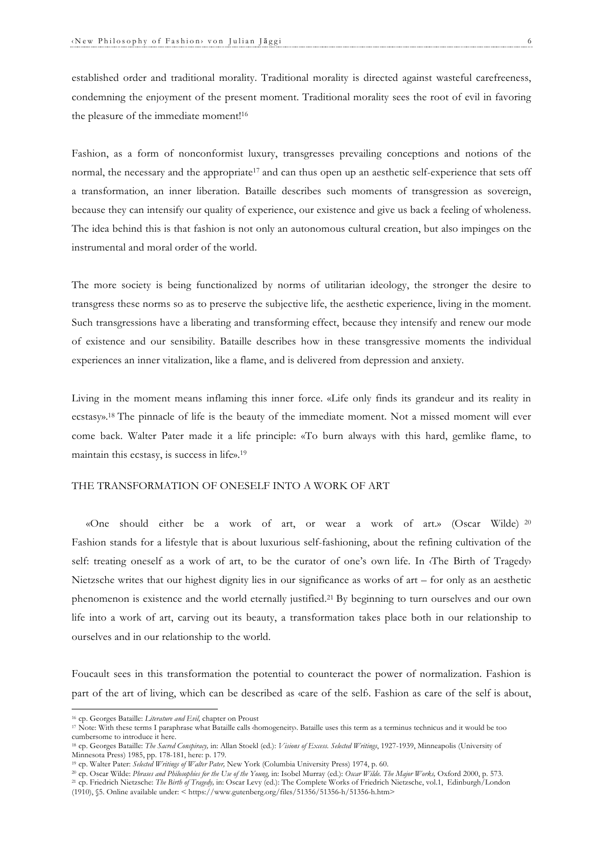established order and traditional morality. Traditional morality is directed against wasteful carefreeness, condemning the enjoyment of the present moment. Traditional morality sees the root of evil in favoring the pleasure of the immediate moment!<sup>16</sup>

Fashion, as a form of nonconformist luxury, transgresses prevailing conceptions and notions of the normal, the necessary and the appropriate<sup>17</sup> and can thus open up an aesthetic self-experience that sets off a transformation, an inner liberation. Bataille describes such moments of transgression as sovereign, because they can intensify our quality of experience, our existence and give us back a feeling of wholeness. The idea behind this is that fashion is not only an autonomous cultural creation, but also impinges on the instrumental and moral order of the world.

The more society is being functionalized by norms of utilitarian ideology, the stronger the desire to transgress these norms so as to preserve the subjective life, the aesthetic experience, living in the moment. Such transgressions have a liberating and transforming effect, because they intensify and renew our mode of existence and our sensibility. Bataille describes how in these transgressive moments the individual experiences an inner vitalization, like a flame, and is delivered from depression and anxiety.

Living in the moment means inflaming this inner force. «Life only finds its grandeur and its reality in ecstasy». <sup>18</sup> The pinnacle of life is the beauty of the immediate moment. Not a missed moment will ever come back. Walter Pater made it a life principle: «To burn always with this hard, gemlike flame, to maintain this ecstasy, is success in life».19

## THE TRANSFORMATION OF ONESELF INTO A WORK OF ART

«One should either be a work of art, or wear a work of art.» (Oscar Wilde) <sup>20</sup> Fashion stands for a lifestyle that is about luxurious self-fashioning, about the refining cultivation of the self: treating oneself as a work of art, to be the curator of one's own life. In  $\langle$ The Birth of Tragedy Nietzsche writes that our highest dignity lies in our significance as works of art – for only as an aesthetic phenomenon is existence and the world eternally justified.21 By beginning to turn ourselves and our own life into a work of art, carving out its beauty, a transformation takes place both in our relationship to ourselves and in our relationship to the world.

Foucault sees in this transformation the potential to counteract the power of normalization. Fashion is part of the art of living, which can be described as «care of the self». Fashion as care of the self is about,

<sup>16</sup> cp. Georges Bataille: *Literature and Evil,* chapter on Proust

<sup>&</sup>lt;sup>17</sup> Note: With these terms I paraphrase what Bataille calls domogeneity. Bataille uses this term as a terminus technicus and it would be too cumbersome to introduce it here.

<sup>18</sup> cp. Georges Bataille: *The Sacred Conspiracy,* in: Allan Stoekl (ed.): *Visions of Excess. Selected Writings*, 1927-1939, Minneapolis (University of Minnesota Press) 1985, pp. 178-181, here: p. 179.

<sup>19</sup> cp. Walter Pater: *Selected Writings of Walter Pater,* New York (Columbia University Press) 1974, p. 60.

<sup>20</sup> cp. Oscar Wilde: *Phrases and Philosophies for the Use of the Young,* in: Isobel Murray (ed.): *Oscar Wilde. The Major Works,* Oxford 2000, p. 573.

<sup>21</sup> cp. Friedrich Nietzsche: *The Birth of Tragedy,* in: Oscar Levy (ed.): The Complete Works of Friedrich Nietzsche, vol.1, Edinburgh/London (1910), §5. Online available under: < https://www.gutenberg.org/files/51356/51356-h/51356-h.htm>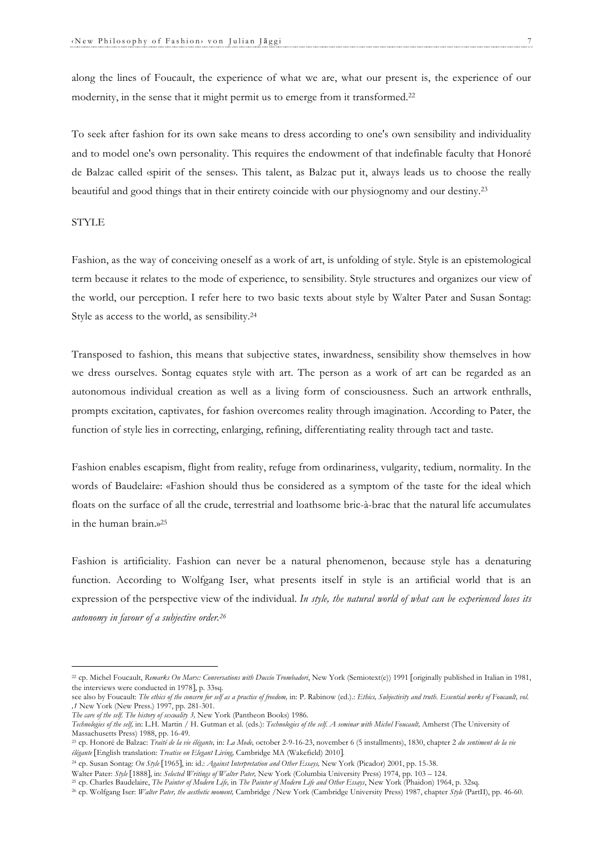along the lines of Foucault, the experience of what we are, what our present is, the experience of our modernity, in the sense that it might permit us to emerge from it transformed.22

To seek after fashion for its own sake means to dress according to one's own sensibility and individuality and to model one's own personality. This requires the endowment of that indefinable faculty that Honoré de Balzac called ‹spirit of the senses›. This talent, as Balzac put it, always leads us to choose the really beautiful and good things that in their entirety coincide with our physiognomy and our destiny.23

## STYLE

Fashion, as the way of conceiving oneself as a work of art, is unfolding of style. Style is an epistemological term because it relates to the mode of experience, to sensibility. Style structures and organizes our view of the world, our perception. I refer here to two basic texts about style by Walter Pater and Susan Sontag: Style as access to the world, as sensibility.24

Transposed to fashion, this means that subjective states, inwardness, sensibility show themselves in how we dress ourselves. Sontag equates style with art. The person as a work of art can be regarded as an autonomous individual creation as well as a living form of consciousness. Such an artwork enthralls, prompts excitation, captivates, for fashion overcomes reality through imagination. According to Pater, the function of style lies in correcting, enlarging, refining, differentiating reality through tact and taste.

Fashion enables escapism, flight from reality, refuge from ordinariness, vulgarity, tedium, normality. In the words of Baudelaire: «Fashion should thus be considered as a symptom of the taste for the ideal which floats on the surface of all the crude, terrestrial and loathsome bric-à-brac that the natural life accumulates in the human brain.»25

Fashion is artificiality. Fashion can never be a natural phenomenon, because style has a denaturing function. According to Wolfgang Iser, what presents itself in style is an artificial world that is an expression of the perspective view of the individual. *In style, the natural world of what can be experienced loses its autonomy in favour of a subjective order. 26*

<sup>&</sup>lt;sup>22</sup> cp. Michel Foucault, *Remarks On Marx: Conversations with Duccio Trombadori*, New York (Semiotext(e)) 1991 [originally published in Italian in 1981, the interviews were conducted in 1978], p. 33sq.

see also by Foucault: The ethics of the concern for self as a practice of freedom, in: P. Rabinow (ed.).: *Ethics, Subjectivity and truth. Essential works of Foucault, vol. ,1* New York (New Press.) 1997, pp. 281-301.

*The care of the self. The history of sexuality 3,* New York (Pantheon Books) 1986.

*Technologies of the self,* in: L.H. Martin / H. Gutman et al. (eds.): *Technologies of the self. A seminar with Michel Foucault,* Amherst (The University of Massachusetts Press) 1988, pp. 16-49.

<sup>23</sup> cp. Honoré de Balzac: *Traité de la vie élégante,* in: *La Mode,* october 2-9-16-23, november 6 (5 installments), 1830, chapter 2 *du sentiment de la vie élégante* [English translation: *Treatise on Elegant Living,* Cambridge MA (Wakefield) 2010].

<sup>24</sup> cp. Susan Sontag: *On Style* [1965], in: id.: *Against Interpretation and Other Essays,* New York (Picador) 2001, pp. 15-38.

Walter Pater: *Style* [1888], in: *Selected Writings of Walter Pater,* New York (Columbia University Press) 1974, pp. 103 – 124.

<sup>25</sup> cp. Charles Baudelaire, *The Painter of Modern Life,* in *The Painter of Modern Life and Other Essays*, New York (Phaidon) 1964, p. 32sq.

<sup>26</sup> cp. Wolfgang Iser: *Walter Pater, the aesthetic moment,* Cambridge /New York (Cambridge University Press) 1987, chapter *Style* (PartII), pp. 46-60.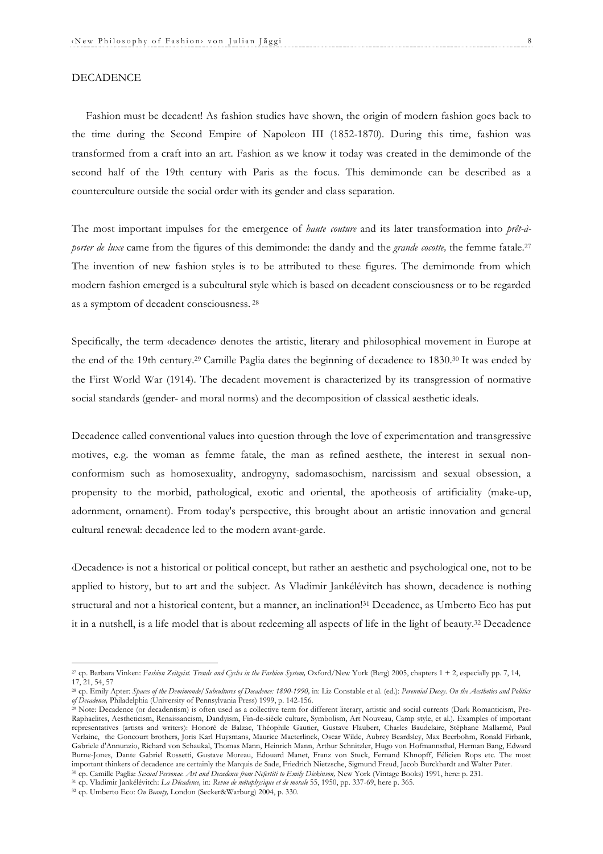#### DECADENCE

Fashion must be decadent! As fashion studies have shown, the origin of modern fashion goes back to the time during the Second Empire of Napoleon III (1852-1870). During this time, fashion was transformed from a craft into an art. Fashion as we know it today was created in the demimonde of the second half of the 19th century with Paris as the focus. This demimonde can be described as a counterculture outside the social order with its gender and class separation.

The most important impulses for the emergence of *haute couture* and its later transformation into *prêt-àporter de luxe* came from the figures of this demimonde: the dandy and the *grande cocotte*, the femme fatale.<sup>27</sup> The invention of new fashion styles is to be attributed to these figures. The demimonde from which modern fashion emerged is a subcultural style which is based on decadent consciousness or to be regarded as a symptom of decadent consciousness. <sup>28</sup>

Specifically, the term ‹decadence› denotes the artistic, literary and philosophical movement in Europe at the end of the 19th century. <sup>29</sup> Camille Paglia dates the beginning of decadence to 1830.30 It was ended by the First World War (1914). The decadent movement is characterized by its transgression of normative social standards (gender- and moral norms) and the decomposition of classical aesthetic ideals.

Decadence called conventional values into question through the love of experimentation and transgressive motives, e.g. the woman as femme fatale, the man as refined aesthete, the interest in sexual nonconformism such as homosexuality, androgyny, sadomasochism, narcissism and sexual obsession, a propensity to the morbid, pathological, exotic and oriental, the apotheosis of artificiality (make-up, adornment, ornament). From today's perspective, this brought about an artistic innovation and general cultural renewal: decadence led to the modern avant-garde.

‹Decadence› is not a historical or political concept, but rather an aesthetic and psychological one, not to be applied to history, but to art and the subject. As Vladimir Jankélévitch has shown, decadence is nothing structural and not a historical content, but a manner, an inclination!<sup>31</sup> Decadence, as Umberto Eco has put it in a nutshell, is a life model that is about redeeming all aspects of life in the light of beauty.32 Decadence

<sup>27</sup> cp. Barbara Vinken: *Fashion Zeitgeist. Trends and Cycles in the Fashion System,* Oxford/New York (Berg) 2005, chapters 1 + 2, especially pp. 7, 14, 17, 21, 54, 57

<sup>28</sup> cp. Emily Apter: *Spaces of the Demimonde/Subcultures of Decadence: 1890-1990,* in: Liz Constable et al. (ed.): *Perennial Decay. On the Aesthetics and Politics of Decadence,* Philadelphia (University of Pennsylvania Press) 1999, p. 142-156.

<sup>&</sup>lt;sup>29</sup> Note: Decadence (or decadentism) is often used as a collective term for different literary, artistic and social currents (Dark Romanticism, Pre-Raphaelites, Aestheticism, Renaissancism, Dandyism, Fin-de-siècle culture, Symbolism, Art Nouveau, Camp style, et al.). Examples of important representatives (artists and writers): Honoré de Balzac, Théophile Gautier, Gustave Flaubert, Charles Baudelaire, Stéphane Mallarmé, Paul Verlaine, the Goncourt brothers, Joris Karl Huysmans, Maurice Maeterlinck, Oscar Wilde, Aubrey Beardsley, Max Beerbohm, Ronald Firbank, Gabriele d'Annunzio, Richard von Schaukal, Thomas Mann, Heinrich Mann, Arthur Schnitzler, Hugo von Hofmannsthal, Herman Bang, Edward Burne-Jones, Dante Gabriel Rossetti, Gustave Moreau, Edouard Manet, Franz von Stuck, Fernand Khnopff, Félicien Rops etc. The most important thinkers of decadence are certainly the Marquis de Sade, Friedrich Nietzsche, Sigmund Freud, Jacob Burckhardt and Walter Pater. <sup>30</sup> cp. Camille Paglia: *Sexual Personae. Art and Decadence from Nefertiti to Emily Dickinson,* New York (Vintage Books) 1991, here: p. 231.

<sup>31</sup> cp. Vladimir Jankélévitch: *La Décadence,* in: *Revue de métaphysique et de morale* 55, 1950, pp. 337-69, here p. 365.

<sup>32</sup> cp. Umberto Eco: *On Beauty,* London (Secker&Warburg) 2004, p. 330.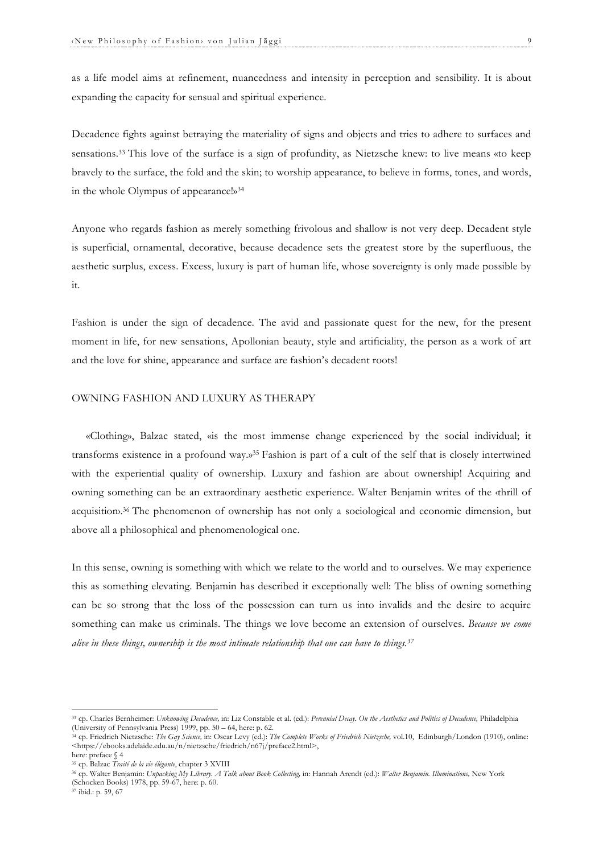as a life model aims at refinement, nuancedness and intensity in perception and sensibility. It is about expanding the capacity for sensual and spiritual experience.

Decadence fights against betraying the materiality of signs and objects and tries to adhere to surfaces and sensations.33 This love of the surface is a sign of profundity, as Nietzsche knew: to live means «to keep bravely to the surface, the fold and the skin; to worship appearance, to believe in forms, tones, and words, in the whole Olympus of appearance!»34

Anyone who regards fashion as merely something frivolous and shallow is not very deep. Decadent style is superficial, ornamental, decorative, because decadence sets the greatest store by the superfluous, the aesthetic surplus, excess. Excess, luxury is part of human life, whose sovereignty is only made possible by it.

Fashion is under the sign of decadence. The avid and passionate quest for the new, for the present moment in life, for new sensations, Apollonian beauty, style and artificiality, the person as a work of art and the love for shine, appearance and surface are fashion's decadent roots!

#### OWNING FASHION AND LUXURY AS THERAPY

«Clothing», Balzac stated, «is the most immense change experienced by the social individual; it transforms existence in a profound way.»35 Fashion is part of a cult of the self that is closely intertwined with the experiential quality of ownership. Luxury and fashion are about ownership! Acquiring and owning something can be an extraordinary aesthetic experience. Walter Benjamin writes of the ‹thrill of acquisition.<sup>36</sup> The phenomenon of ownership has not only a sociological and economic dimension, but above all a philosophical and phenomenological one.

In this sense, owning is something with which we relate to the world and to ourselves. We may experience this as something elevating. Benjamin has described it exceptionally well: The bliss of owning something can be so strong that the loss of the possession can turn us into invalids and the desire to acquire something can make us criminals. The things we love become an extension of ourselves. *Because we come alive in these things, ownership is the most intimate relationship that one can have to things.37*

<sup>33</sup> cp. Charles Bernheimer: *Unknowing Decadence,* in: Liz Constable et al. (ed.): *Perennial Decay. On the Aesthetics and Politics of Decadence,* Philadelphia (University of Pennsylvania Press) 1999, pp. 50 – 64, here: p. 62.

<sup>34</sup> cp. Friedrich Nietzsche: *The Gay Science,* in: Oscar Levy (ed.): *The Complete Works of Friedrich Nietzsche,* vol.10, Edinburgh/London (1910), online: <https://ebooks.adelaide.edu.au/n/nietzsche/friedrich/n67j/preface2.html>,

here: preface § 4

<sup>35</sup> cp. Balzac *Traité de la vie élégante*, chapter 3 XVIII

<sup>36</sup> cp. Walter Benjamin: *Unpacking My Library. A Talk about Book Collecting,* in: Hannah Arendt (ed.): *Walter Benjamin. Illuminations,* New York (Schocken Books) 1978, pp. 59-67, here: p. 60.

 $37$  ibid.: p. 59, 67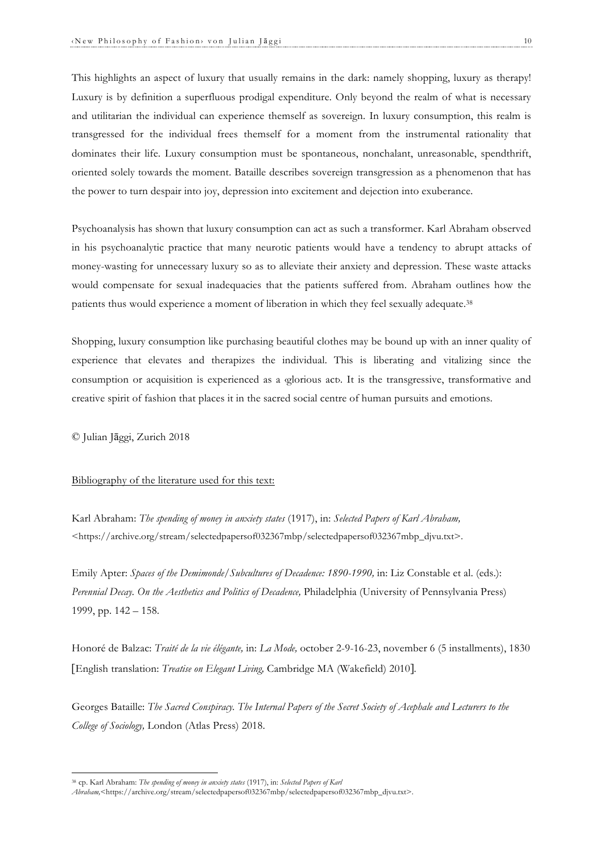This highlights an aspect of luxury that usually remains in the dark: namely shopping, luxury as therapy! Luxury is by definition a superfluous prodigal expenditure. Only beyond the realm of what is necessary and utilitarian the individual can experience themself as sovereign. In luxury consumption, this realm is transgressed for the individual frees themself for a moment from the instrumental rationality that dominates their life. Luxury consumption must be spontaneous, nonchalant, unreasonable, spendthrift, oriented solely towards the moment. Bataille describes sovereign transgression as a phenomenon that has the power to turn despair into joy, depression into excitement and dejection into exuberance.

Psychoanalysis has shown that luxury consumption can act as such a transformer. Karl Abraham observed in his psychoanalytic practice that many neurotic patients would have a tendency to abrupt attacks of money-wasting for unnecessary luxury so as to alleviate their anxiety and depression. These waste attacks would compensate for sexual inadequacies that the patients suffered from. Abraham outlines how the patients thus would experience a moment of liberation in which they feel sexually adequate.38

Shopping, luxury consumption like purchasing beautiful clothes may be bound up with an inner quality of experience that elevates and therapizes the individual. This is liberating and vitalizing since the consumption or acquisition is experienced as a *glorious* act. It is the transgressive, transformative and creative spirit of fashion that places it in the sacred social centre of human pursuits and emotions.

© Julian Jāggi, Zurich 2018

## Bibliography of the literature used for this text:

Karl Abraham: *The spending of money in anxiety states* (1917), in: *Selected Papers of Karl Abraham,*  <https://archive.org/stream/selectedpapersof032367mbp/selectedpapersof032367mbp\_djvu.txt>.

Emily Apter: *Spaces of the Demimonde/Subcultures of Decadence: 1890-1990,* in: Liz Constable et al. (eds.): *Perennial Decay. On the Aesthetics and Politics of Decadence, Philadelphia (University of Pennsylvania Press)* 1999, pp. 142 – 158.

Honoré de Balzac: *Traité de la vie élégante,* in: *La Mode,* october 2-9-16-23, november 6 (5 installments), 1830 [English translation: *Treatise on Elegant Living,* Cambridge MA (Wakefield) 2010].

Georges Bataille: *The Sacred Conspiracy. The Internal Papers of the Secret Society of Acephale and Lecturers to the College of Sociology,* London (Atlas Press) 2018.

<sup>38</sup> cp. Karl Abraham: *The spending of money in anxiety states* (1917), in: *Selected Papers of Karl* 

*Abraham,*<https://archive.org/stream/selectedpapersof032367mbp/selectedpapersof032367mbp\_djvu.txt>.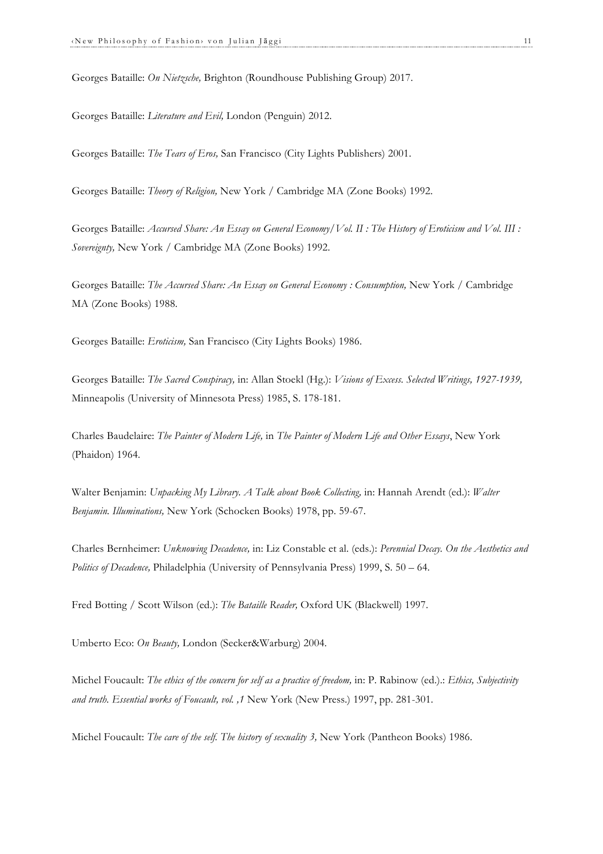Georges Bataille: *On Nietzsche,* Brighton (Roundhouse Publishing Group) 2017.

Georges Bataille: *Literature and Evil,* London (Penguin) 2012.

Georges Bataille: *The Tears of Eros,* San Francisco (City Lights Publishers) 2001.

Georges Bataille: *Theory of Religion,* New York / Cambridge MA (Zone Books) 1992.

Georges Bataille: *Accursed Share: An Essay on General Economy/Vol. II : The History of Eroticism and Vol. III : Sovereignty,* New York / Cambridge MA (Zone Books) 1992.

Georges Bataille: *The Accursed Share: An Essay on General Economy : Consumption,* New York / Cambridge MA (Zone Books) 1988.

Georges Bataille: *Eroticism,* San Francisco (City Lights Books) 1986.

Georges Bataille: *The Sacred Conspiracy,* in: Allan Stoekl (Hg.): *Visions of Excess. Selected Writings, 1927-1939,* Minneapolis (University of Minnesota Press) 1985, S. 178-181.

Charles Baudelaire: *The Painter of Modern Life,* in *The Painter of Modern Life and Other Essays*, New York (Phaidon) 1964.

Walter Benjamin: *Unpacking My Library. A Talk about Book Collecting,* in: Hannah Arendt (ed.): *Walter Benjamin. Illuminations,* New York (Schocken Books) 1978, pp. 59-67.

Charles Bernheimer: *Unknowing Decadence,* in: Liz Constable et al. (eds.): *Perennial Decay. On the Aesthetics and Politics of Decadence,* Philadelphia (University of Pennsylvania Press) 1999, S. 50 – 64.

Fred Botting / Scott Wilson (ed.): *The Bataille Reader,* Oxford UK (Blackwell) 1997.

Umberto Eco: *On Beauty,* London (Secker&Warburg) 2004.

Michel Foucault: *The ethics of the concern for self as a practice of freedom,* in: P. Rabinow (ed.).: *Ethics, Subjectivity and truth. Essential works of Foucault, vol. ,1* New York (New Press.) 1997, pp. 281-301.

Michel Foucault: *The care of the self. The history of sexuality 3,* New York (Pantheon Books) 1986.